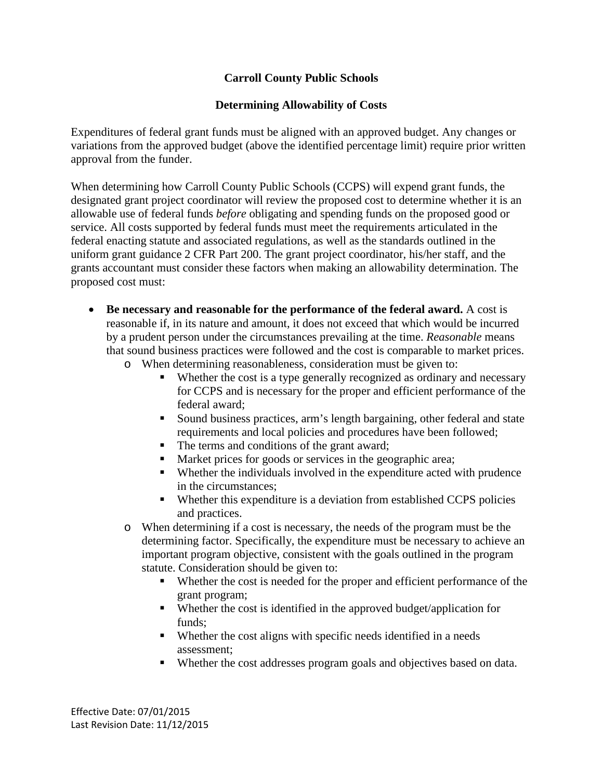## **Carroll County Public Schools**

### **Determining Allowability of Costs**

Expenditures of federal grant funds must be aligned with an approved budget. Any changes or variations from the approved budget (above the identified percentage limit) require prior written approval from the funder.

When determining how Carroll County Public Schools (CCPS) will expend grant funds, the designated grant project coordinator will review the proposed cost to determine whether it is an allowable use of federal funds *before* obligating and spending funds on the proposed good or service. All costs supported by federal funds must meet the requirements articulated in the federal enacting statute and associated regulations, as well as the standards outlined in the uniform grant guidance 2 CFR Part 200. The grant project coordinator, his/her staff, and the grants accountant must consider these factors when making an allowability determination. The proposed cost must:

- **Be necessary and reasonable for the performance of the federal award.** A cost is reasonable if, in its nature and amount, it does not exceed that which would be incurred by a prudent person under the circumstances prevailing at the time. *Reasonable* means that sound business practices were followed and the cost is comparable to market prices.
	- o When determining reasonableness, consideration must be given to:
		- Whether the cost is a type generally recognized as ordinary and necessary for CCPS and is necessary for the proper and efficient performance of the federal award;
		- Sound business practices, arm's length bargaining, other federal and state requirements and local policies and procedures have been followed;
		- The terms and conditions of the grant award;
		- **Market prices for goods or services in the geographic area;**
		- Whether the individuals involved in the expenditure acted with prudence in the circumstances;
		- Whether this expenditure is a deviation from established CCPS policies and practices.
	- o When determining if a cost is necessary, the needs of the program must be the determining factor. Specifically, the expenditure must be necessary to achieve an important program objective, consistent with the goals outlined in the program statute. Consideration should be given to:
		- Whether the cost is needed for the proper and efficient performance of the grant program;
		- Whether the cost is identified in the approved budget/application for funds;
		- Whether the cost aligns with specific needs identified in a needs assessment;
		- Whether the cost addresses program goals and objectives based on data.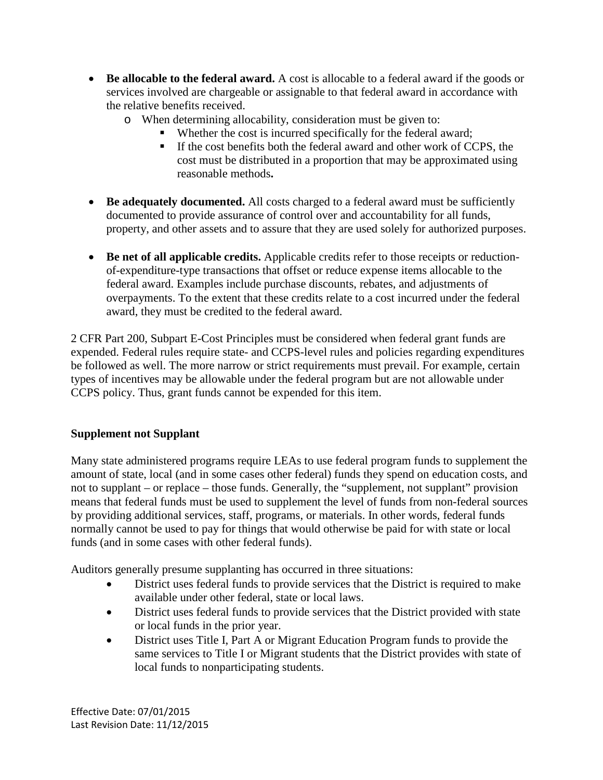- **Be allocable to the federal award.** A cost is allocable to a federal award if the goods or services involved are chargeable or assignable to that federal award in accordance with the relative benefits received.
	- o When determining allocability, consideration must be given to:
		- Whether the cost is incurred specifically for the federal award;
		- If the cost benefits both the federal award and other work of CCPS, the cost must be distributed in a proportion that may be approximated using reasonable methods**.**
- **Be adequately documented.** All costs charged to a federal award must be sufficiently documented to provide assurance of control over and accountability for all funds, property, and other assets and to assure that they are used solely for authorized purposes.
- **Be net of all applicable credits.** Applicable credits refer to those receipts or reductionof-expenditure-type transactions that offset or reduce expense items allocable to the federal award. Examples include purchase discounts, rebates, and adjustments of overpayments. To the extent that these credits relate to a cost incurred under the federal award, they must be credited to the federal award.

2 CFR Part 200, Subpart E-Cost Principles must be considered when federal grant funds are expended. Federal rules require state- and CCPS-level rules and policies regarding expenditures be followed as well. The more narrow or strict requirements must prevail. For example, certain types of incentives may be allowable under the federal program but are not allowable under CCPS policy. Thus, grant funds cannot be expended for this item.

### **Supplement not Supplant**

Many state administered programs require LEAs to use federal program funds to supplement the amount of state, local (and in some cases other federal) funds they spend on education costs, and not to supplant – or replace – those funds. Generally, the "supplement, not supplant" provision means that federal funds must be used to supplement the level of funds from non-federal sources by providing additional services, staff, programs, or materials. In other words, federal funds normally cannot be used to pay for things that would otherwise be paid for with state or local funds (and in some cases with other federal funds).

Auditors generally presume supplanting has occurred in three situations:

- District uses federal funds to provide services that the District is required to make available under other federal, state or local laws.
- District uses federal funds to provide services that the District provided with state or local funds in the prior year.
- District uses Title I, Part A or Migrant Education Program funds to provide the same services to Title I or Migrant students that the District provides with state of local funds to nonparticipating students.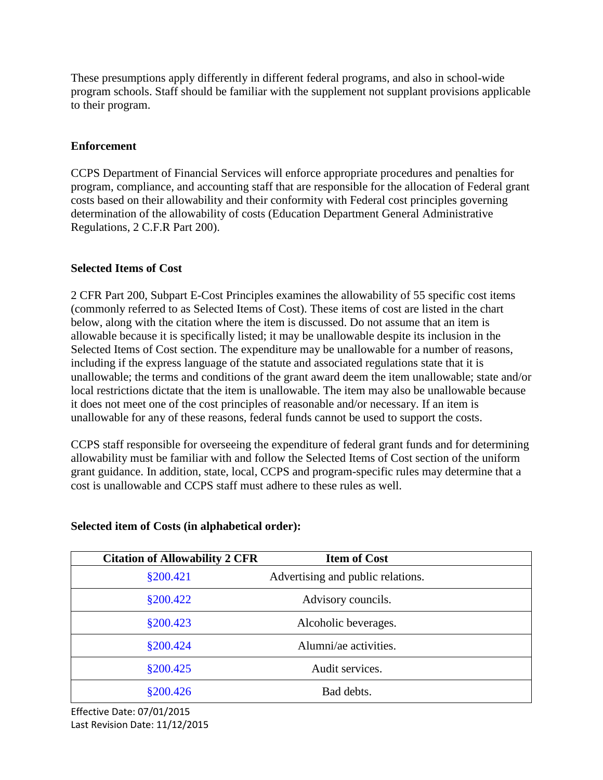These presumptions apply differently in different federal programs, and also in school-wide program schools. Staff should be familiar with the supplement not supplant provisions applicable to their program.

## **Enforcement**

CCPS Department of Financial Services will enforce appropriate procedures and penalties for program, compliance, and accounting staff that are responsible for the allocation of Federal grant costs based on their allowability and their conformity with Federal cost principles governing determination of the allowability of costs (Education Department General Administrative Regulations, 2 C.F.R Part 200).

### **Selected Items of Cost**

2 CFR Part 200, Subpart E-Cost Principles examines the allowability of 55 specific cost items (commonly referred to as Selected Items of Cost). These items of cost are listed in the chart below, along with the citation where the item is discussed. Do not assume that an item is allowable because it is specifically listed; it may be unallowable despite its inclusion in the Selected Items of Cost section. The expenditure may be unallowable for a number of reasons, including if the express language of the statute and associated regulations state that it is unallowable; the terms and conditions of the grant award deem the item unallowable; state and/or local restrictions dictate that the item is unallowable. The item may also be unallowable because it does not meet one of the cost principles of reasonable and/or necessary. If an item is unallowable for any of these reasons, federal funds cannot be used to support the costs.

CCPS staff responsible for overseeing the expenditure of federal grant funds and for determining allowability must be familiar with and follow the Selected Items of Cost section of the uniform grant guidance. In addition, state, local, CCPS and program-specific rules may determine that a cost is unallowable and CCPS staff must adhere to these rules as well.

| <b>Citation of Allowability 2 CFR</b> | <b>Item of Cost</b>               |
|---------------------------------------|-----------------------------------|
| §200.421                              | Advertising and public relations. |
| \$200.422                             | Advisory councils.                |
| \$200.423                             | Alcoholic beverages.              |
| §200.424                              | Alumni/ae activities.             |
| \$200.425                             | Audit services.                   |
| \$200.426                             | Bad debts.                        |

# **Selected item of Costs (in alphabetical order):**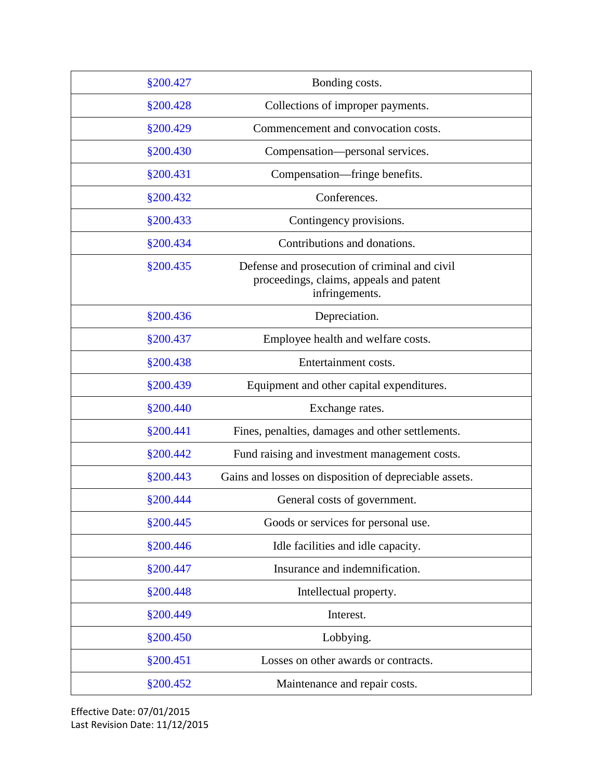| §200.427 | Bonding costs.                                                                                             |
|----------|------------------------------------------------------------------------------------------------------------|
| §200.428 | Collections of improper payments.                                                                          |
| §200.429 | Commencement and convocation costs.                                                                        |
| §200.430 | Compensation—personal services.                                                                            |
| §200.431 | Compensation—fringe benefits.                                                                              |
| §200.432 | Conferences.                                                                                               |
| §200.433 | Contingency provisions.                                                                                    |
| §200.434 | Contributions and donations.                                                                               |
| §200.435 | Defense and prosecution of criminal and civil<br>proceedings, claims, appeals and patent<br>infringements. |
| §200.436 | Depreciation.                                                                                              |
| §200.437 | Employee health and welfare costs.                                                                         |
| §200.438 | Entertainment costs.                                                                                       |
| §200.439 | Equipment and other capital expenditures.                                                                  |
| §200.440 | Exchange rates.                                                                                            |
| §200.441 | Fines, penalties, damages and other settlements.                                                           |
| §200.442 | Fund raising and investment management costs.                                                              |
| §200.443 | Gains and losses on disposition of depreciable assets.                                                     |
| §200.444 | General costs of government.                                                                               |
| §200.445 | Goods or services for personal use.                                                                        |
| §200.446 | Idle facilities and idle capacity.                                                                         |
| §200.447 | Insurance and indemnification.                                                                             |
| §200.448 | Intellectual property.                                                                                     |
| §200.449 | Interest.                                                                                                  |
| §200.450 | Lobbying.                                                                                                  |
| §200.451 | Losses on other awards or contracts.                                                                       |
| §200.452 | Maintenance and repair costs.                                                                              |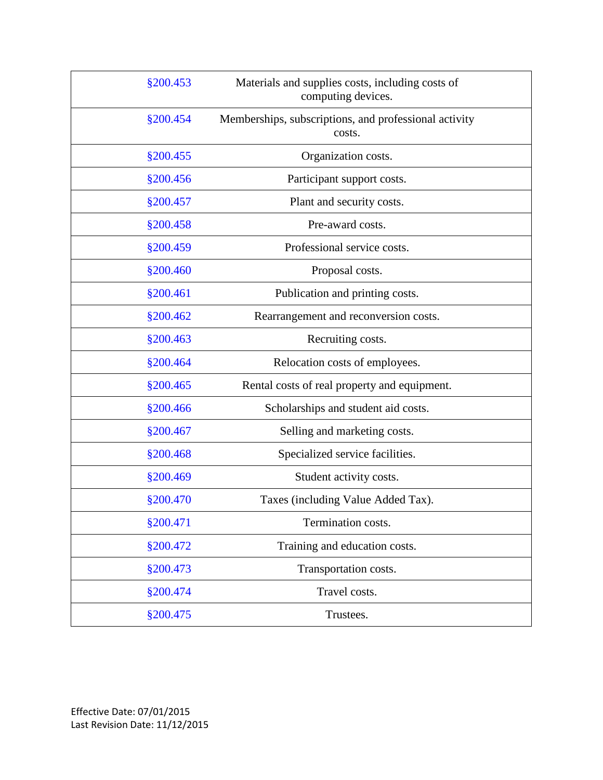| §200.453  | Materials and supplies costs, including costs of<br>computing devices. |
|-----------|------------------------------------------------------------------------|
| §200.454  | Memberships, subscriptions, and professional activity<br>costs.        |
| §200.455  | Organization costs.                                                    |
| \$200.456 | Participant support costs.                                             |
| §200.457  | Plant and security costs.                                              |
| §200.458  | Pre-award costs.                                                       |
| §200.459  | Professional service costs.                                            |
| §200.460  | Proposal costs.                                                        |
| §200.461  | Publication and printing costs.                                        |
| §200.462  | Rearrangement and reconversion costs.                                  |
| §200.463  | Recruiting costs.                                                      |
| §200.464  | Relocation costs of employees.                                         |
| §200.465  | Rental costs of real property and equipment.                           |
| §200.466  | Scholarships and student aid costs.                                    |
| §200.467  | Selling and marketing costs.                                           |
| §200.468  | Specialized service facilities.                                        |
| §200.469  | Student activity costs.                                                |
| §200.470  | Taxes (including Value Added Tax).                                     |
| §200.471  | Termination costs.                                                     |
| §200.472  | Training and education costs.                                          |
| §200.473  | Transportation costs.                                                  |
| §200.474  | Travel costs.                                                          |
| §200.475  | Trustees.                                                              |